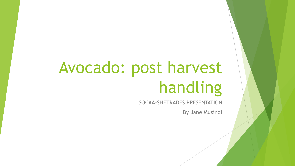# Avocado: post harvest handling

SOCAA-SHETRADES PRESENTATION

By Jane Musindi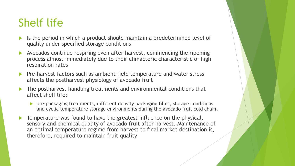# Shelf life

- Is the period in which a product should maintain a predetermined level of quality under specified storage conditions
- Avocados continue respiring even after harvest, commencing the ripening process almost immediately due to their climacteric characteristic of high respiration rates
- Pre-harvest factors such as ambient field temperature and water stress affects the postharvest physiology of avocado fruit
- The postharvest handling treatments and environmental conditions that affect shelf life:
	- **P** pre-packaging treatments, different density packaging films, storage conditions and cyclic temperature storage environments during the avocado fruit cold chain.
- Temperature was found to have the greatest influence on the physical, sensory and chemical quality of avocado fruit after harvest. Maintenance of an optimal temperature regime from harvest to final market destination is, therefore, required to maintain fruit quality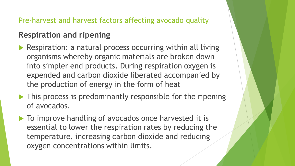#### Pre-harvest and harvest factors affecting avocado quality

### **Respiration and ripening**

- ▶ Respiration: a natural process occurring within all living organisms whereby organic materials are broken down into simpler end products. During respiration oxygen is expended and carbon dioxide liberated accompanied by the production of energy in the form of heat
- $\blacktriangleright$  This process is predominantly responsible for the ripening of avocados.
- $\blacktriangleright$  To improve handling of avocados once harvested it is essential to lower the respiration rates by reducing the temperature, increasing carbon dioxide and reducing oxygen concentrations within limits.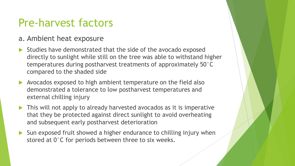### Pre-harvest factors

#### a. Ambient heat exposure

- $\blacktriangleright$  Studies have demonstrated that the side of the avocado exposed directly to sunlight while still on the tree was able to withstand higher temperatures during postharvest treatments of approximately 50°C compared to the shaded side
- Avocados exposed to high ambient temperature on the field also demonstrated a tolerance to low postharvest temperatures and external chilling injury
- ▶ This will not apply to already harvested avocados as it is imperative that they be protected against direct sunlight to avoid overheating and subsequent early postharvest deterioration
- Sun exposed fruit showed a higher endurance to chilling injury when stored at  $0^{\circ}$ C for periods between three to six weeks.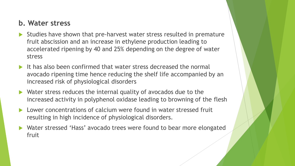#### **b. Water stress**

- Studies have shown that pre-harvest water stress resulted in premature fruit abscission and an increase in ethylene production leading to accelerated ripening by 40 and 25% depending on the degree of water stress
- $\blacktriangleright$  It has also been confirmed that water stress decreased the normal avocado ripening time hence reducing the shelf life accompanied by an increased risk of physiological disorders
- ▶ Water stress reduces the internal quality of avocados due to the increased activity in polyphenol oxidase leading to browning of the flesh
- Lower concentrations of calcium were found in water stressed fruit resulting in high incidence of physiological disorders.
- Water stressed 'Hass' avocado trees were found to bear more elongated fruit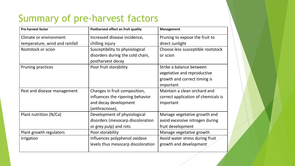### Summary of pre-harvest factors

| <b>Pre-harvest factor</b>      | Postharvest effect on fruit quality | <b>Management</b>                   |
|--------------------------------|-------------------------------------|-------------------------------------|
| Climate or environment:        | Increased disease incidence,        | Pruning to expose the fruit to      |
| temperature, wind and rainfall | chilling injury                     | direct sunlight                     |
| Rootstock or scion             | Susceptibility to physiological     | Choose less susceptible rootstock   |
|                                | disorders during the cold chain,    | or scion                            |
|                                | postharvest decay                   |                                     |
| <b>Pruning practices</b>       | Poor fruit storability              | Strike a balance between            |
|                                |                                     | vegetative and reproductive         |
|                                |                                     | growth and correct timing is        |
|                                |                                     | important                           |
| Pest and disease management    | Changes in fruit composition,       | Maintain a clean orchard and        |
|                                | influences the ripening behavior    | correct application of chemicals is |
|                                | and decay development               | important                           |
|                                | (anthracnose),                      |                                     |
| Plant nutrition (N/Ca)         | Development of physiological        | Manage vegetative growth and        |
|                                | disorders (mesocarp discoloration   | avoid excessive nitrogen during     |
|                                | or grey pulp) and rots              | fruit development                   |
| Plant growth regulators        | Poor storability                    | Manage vegetative growth            |
| Irrigation                     | Influences polyphenol oxidase       | Avoid water stress during fruit     |
|                                | levels thus mesocarp discoloration  | growth and development              |
|                                |                                     |                                     |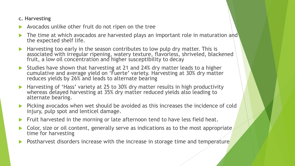#### **c. Harvesting**

- Avocados unlike other fruit do not ripen on the tree
- The time at which avocados are harvested plays an important role in maturation and the expected shelf life.
- Harvesting too early in the season contributes to low pulp dry matter. This is associated with irregular ripening, watery texture, flavorless, shriveled, blackened fruit, a low oil concentration and higher susceptibility to decay
- Studies have shown that harvesting at 21 and 24% dry matter leads to a higher cumulative and average yield on 'Fuerte' variety. Harvesting at 30% dry matter reduces yields by 26% and leads to alternate bearing
- ▶ Harvesting of 'Hass' variety at 25 to 30% dry matter results in high productivity whereas delayed harvesting at 35% dry matter reduced yields also leading to alternate bearing.
- **Picking avocados when wet should be avoided as this increases the incidence of cold** injury, pulp spot and lenticel damage.
- Fruit harvested in the morning or late afternoon tend to have less field heat.
- Color, size or oil content, generally serve as indications as to the most appropriate time for harvesting
- Postharvest disorders increase with the increase in storage time and temperature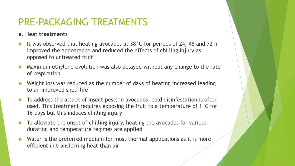### PRE-PACKAGING TREATMENTS

#### **a. Heat treatments**

- It was observed that heating avocados at 38°C for periods of 24, 48 and 72 h improved the appearance and reduced the effects of chilling injury as opposed to untreated fruit
- Maximum ethylene evolution was also delayed without any change to the rate of respiration
- Weight loss was reduced as the number of days of heating increased leading to an improved shelf life
- ▶ To address the attack of insect pests in avocados, cold disinfestation is often used. This treatment requires exposing the fruit to a temperature of 1°C for 16 days but this induces chilling injury
- ▶ To alleviate the onset of chilling injury, heating the avocados for various duration and temperature regimes are applied
- $\blacktriangleright$  Water is the preferred medium for most thermal applications as it is more efficient in transferring heat than air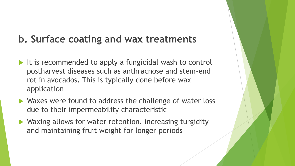### **b. Surface coating and wax treatments**

- $\blacktriangleright$  It is recommended to apply a fungicidal wash to control postharvest diseases such as anthracnose and stem-end rot in avocados. This is typically done before wax application
- ▶ Waxes were found to address the challenge of water loss due to their impermeability characteristic
- ▶ Waxing allows for water retention, increasing turgidity and maintaining fruit weight for longer periods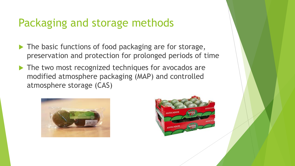# Packaging and storage methods

- The basic functions of food packaging are for storage, preservation and protection for prolonged periods of time
- The two most recognized techniques for avocados are modified atmosphere packaging (MAP) and controlled atmosphere storage (CAS)



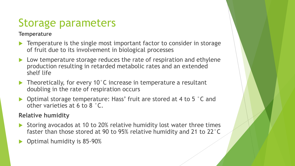# Storage parameters

#### **Temperature**

- **Temperature is the single most important factor to consider in storage** of fruit due to its involvement in biological processes
- ▶ Low temperature storage reduces the rate of respiration and ethylene production resulting in retarded metabolic rates and an extended shelf life
- $\blacktriangleright$  Theoretically, for every 10°C increase in temperature a resultant doubling in the rate of respiration occurs
- ▶ Optimal storage temperature: Hass' fruit are stored at 4 to 5 °C and other varieties at 6 to 8 °C.

#### **Relative humidity**

- Storing avocados at 10 to 20% relative humidity lost water three times faster than those stored at 90 to 95% relative humidity and 21 to 22°C
- Optimal humidity is 85-90%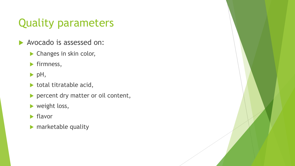# Quality parameters

- Avocado is assessed on:
	- **Changes in skin color,**
	- $\blacktriangleright$  firmness,
	- $\blacktriangleright$  pH,
	- $\blacktriangleright$  total titratable acid,
	- percent dry matter or oil content,
	- weight loss,
	- $\blacktriangleright$  flavor
	- $\blacktriangleright$  marketable quality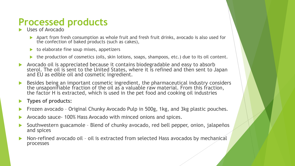### **Processed products**

- Uses of Avocado
	- Apart from fresh consumption as whole fruit and fresh fruit drinks, avocado is also used for the confection of baked products (such as cakes),
	- $\triangleright$  to elaborate fine soup mixes, appetizers
	- $\blacktriangleright$  the production of cosmetics (oils, skin lotions, soaps, shampoos, etc.) due to its oil content.
- Avocado oil is appreciated because it contains biodegradable and easy to absorb sterol. The oil is sent to the United States, where it is refined and then sent to Japan and EU as edible oil and cosmetic ingredient.
- Besides being an important cosmetic ingredient, the pharmaceutical industry considers the unsaponifiable fraction of the oil as a valuable raw material. From this fraction, the factor H is extracted, which is used in the pet food and cooking oil industries

#### **Types of products:**

- Frozen avocado Original Chunky Avocado Pulp in 500g, 1kg, and 3kg plastic pouches.
- Avocado sauce- 100% Hass Avocado with minced onions and spices.
- Southwestern guacamole Blend of chunky avocado, red bell pepper, onion, jalapeños and spices
- Non-refined avocado oil oil is extracted from selected Hass avocados by mechanical processes